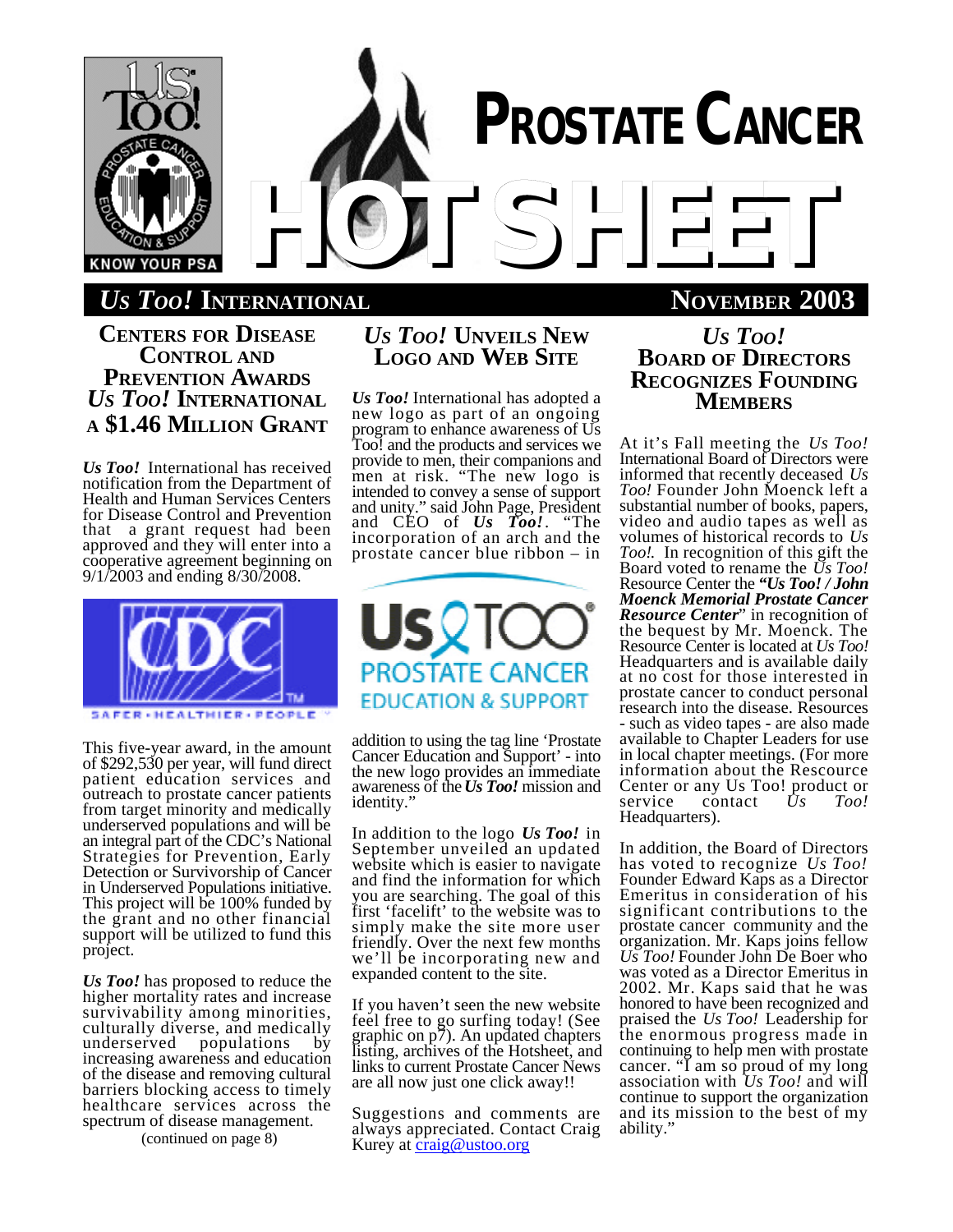

*US TOO!* **INTERNATIONAL NOVEMBER 2003**

**CENTERS FOR DISEASE CONTROL AND PREVENTION AWARDS** *US TOO!* **INTERNATIONAL A \$1.46 MILLION GRANT**

*Us Too!* International has received notification from the Department of Health and Human Services Centers for Disease Control and Prevention that a grant request had been approved and they will enter into a cooperative agreement beginning on 9/1/2003 and ending 8/30/2008.



This five-year award, in the amount of \$292,530 per year, will fund direct patient education services and outreach to prostate cancer patients from target minority and medically underserved populations and will be an integral part of the CDC's National Strategies for Prevention, Early Detection or Survivorship of Cancer in Underserved Populations initiative. This project will be 100% funded by the grant and no other financial support will be utilized to fund this project.

*Us Too!* has proposed to reduce the higher mortality rates and increase survivability among minorities, culturally diverse, and medically<br>underserved populations by populations increasing awareness and education of the disease and removing cultural barriers blocking access to timely healthcare services across the spectrum of disease management.

(continued on page 8)

# *US TOO!* **UNVEILS NEW LOGO AND WEB SITE**

*Us Too!* International has adopted a new logo as part of an ongoing program to enhance awareness of Us Too! and the products and services we provide to men, their companions and men at risk. "The new logo is intended to convey a sense of support and unity." said John Page, President and CEO of *Us Too!*. "The incorporation of an arch and the prostate cancer blue ribbon – in



addition to using the tag line 'Prostate Cancer Education and Support' - into the new logo provides an immediate awareness of the *Us Too!* mission and identity."

In addition to the logo *Us Too!* in September unveiled an updated website which is easier to navigate and find the information for which you are searching. The goal of this first 'facelift' to the website was to simply make the site more user friendly. Over the next few months we'll be incorporating new and expanded content to the site.

If you haven't seen the new website feel free to go surfing today! (See graphic on p7). An updated chapters listing, archives of the Hotsheet, and links to current Prostate Cancer News are all now just one click away!!

Suggestions and comments are always appreciated. Contact Craig Kurey at craig@ustoo.org

*US TOO!* **BOARD OF DIRECTORS RECOGNIZES FOUNDING MEMBERS**

At it's Fall meeting the *Us Too!* International Board of Directors were informed that recently deceased *Us Too!* Founder John Moenck left a substantial number of books, papers, video and audio tapes as well as volumes of historical records to *Us Too!*. In recognition of this gift the Board voted to rename the *Us Too!* Resource Center the *"Us Too! / John Moenck Memorial Prostate Cancer Resource Center*" in recognition of the bequest by Mr. Moenck. The Resource Center is located at *Us Too!* Headquarters and is available daily at no cost for those interested in prostate cancer to conduct personal research into the disease. Resources - such as video tapes - are also made available to Chapter Leaders for use in local chapter meetings. (For more information about the Rescource Center or any Us Too! product or<br>service contact  $Us$  Too! contact Headquarters).

In addition, the Board of Directors has voted to recognize *Us Too!* Founder Edward Kaps as a Director Emeritus in consideration of his significant contributions to the prostate cancer community and the organization. Mr. Kaps joins fellow *Us Too!* Founder John De Boer who was voted as a Director Emeritus in 2002. Mr. Kaps said that he was honored to have been recognized and praised the *Us Too!* Leadership for the enormous progress made in continuing to help men with prostate cancer. "I am so proud of my long association with *Us Too!* and will continue to support the organization and its mission to the best of my ability."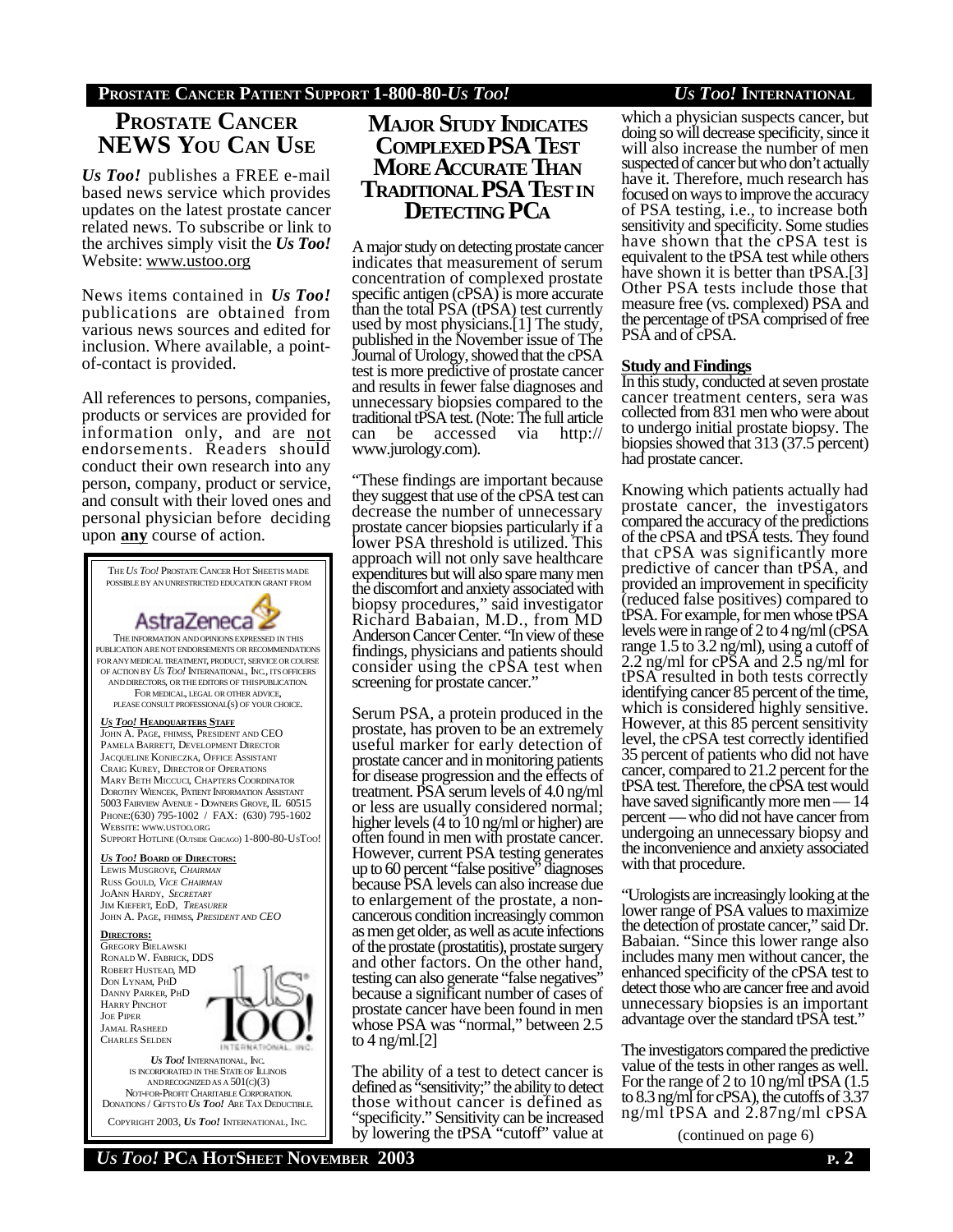## **PROSTATE CANCER PATIENT SUPPORT 1-800-80-***US TOO! US TOO!* **INTERNATIONAL**

# **PROSTATE CANCER NEWS YOU CAN USE**

*Us Too!* publishes a FREE e-mail based news service which provides updates on the latest prostate cancer related news. To subscribe or link to the archives simply visit the *Us Too!* Website: www.ustoo.org

News items contained in *Us Too!* publications are obtained from various news sources and edited for inclusion. Where available, a pointof-contact is provided.

All references to persons, companies, products or services are provided for information only, and are not endorsements. Readers should conduct their own research into any person, company, product or service, and consult with their loved ones and personal physician before deciding upon **any** course of action.



**MAJOR STUDY INDICATES COMPLEXED PSA TEST MORE ACCURATE THAN TRADITIONAL PSA TESTIN DETECTING PCA**

A major study on detecting prostate cancer indicates that measurement of serum concentration of complexed prostate specific antigen (cPSA) is more accurate than the total PSA (tPSA) test currently used by most physicians.[1] The study, published in the November issue of The Journal of Urology, showed that the cPSA test is more predictive of prostate cancer and results in fewer false diagnoses and unnecessary biopsies compared to the traditional tPSA test. (Note: The full article<br>can be accessed via http:// can be accessed www.jurology.com).

"These findings are important because they suggest that use of the cPSA test can decrease the number of unnecessary prostate cancer biopsies particularly if a lower PSA threshold is utilized. This approach will not only save healthcare expenditures but will also spare many men the discomfort and anxiety associated with biopsy procedures," said investigator Richard Babaian, M.D., from MD Anderson Cancer Center. "In view of these findings, physicians and patients should consider using the cPSA test when screening for prostate cancer."

Serum PSA, a protein produced in the prostate, has proven to be an extremely useful marker for early detection of prostate cancer and in monitoring patients for disease progression and the effects of treatment. PSA serum levels of 4.0 ng/ml or less are usually considered normal; higher levels (4 to 10 ng/ml or higher) are often found in men with prostate cancer. However, current PSA testing generates up to 60 percent "false positive" diagnoses because PSA levels can also increase due to enlargement of the prostate, a noncancerous condition increasingly common as men get older, as well as acute infections of the prostate (prostatitis), prostate surgery and other factors. On the other hand, testing can also generate "false negatives" because a significant number of cases of prostate cancer have been found in men whose PSA was "normal," between 2.5 to 4 ng/ml.[2]

The ability of a test to detect cancer is defined as "sensitivity;" the ability to detect those without cancer is defined as "specificity." Sensitivity can be increased by lowering the tPSA "cutoff" value at

which a physician suspects cancer, but doing so will decrease specificity, since it will also increase the number of men suspected of cancer but who don't actually have it. Therefore, much research has focused on ways to improve the accuracy of PSA testing, i.e., to increase both sensitivity and specificity. Some studies have shown that the cPSA test is equivalent to the tPSA test while others have shown it is better than tPSA.[3] Other PSA tests include those that measure free (vs. complexed) PSA and the percentage of tPSA comprised of free PSA and of cPSA.

### **Study and Findings**

In this study, conducted at seven prostate cancer treatment centers, sera was collected from 831 men who were about to undergo initial prostate biopsy. The biopsies showed that 313 (37.5 percent) had prostate cancer.

Knowing which patients actually had prostate cancer, the investigators compared the accuracy of the predictions of the cPSA and tPSA tests. They found that cPSA was significantly more predictive of cancer than tPSA, and provided an improvement in specificity (reduced false positives) compared to tPSA. For example, for men whose tPSA levels were in range of 2 to 4 ng/ml (cPSA range 1.5 to 3.2 ng/ml), using a cutoff of 2.2 ng/ml for cPSA and 2.5 ng/ml for tPSA resulted in both tests correctly identifying cancer 85 percent of the time, which is considered highly sensitive. However, at this 85 percent sensitivity level, the cPSA test correctly identified 35 percent of patients who did not have cancer, compared to 21.2 percent for the tPSA test. Therefore, the cPSA test would have saved significantly more men — 14 percent — who did not have cancer from undergoing an unnecessary biopsy and the inconvenience and anxiety associated with that procedure.

"Urologists are increasingly looking at the lower range of PSA values to maximize the detection of prostate cancer," said Dr. Babaian. "Since this lower range also includes many men without cancer, the enhanced specificity of the cPSA test to detect those who are cancer free and avoid unnecessary biopsies is an important advantage over the standard tPSA test."

The investigators compared the predictive value of the tests in other ranges as well. For the range of 2 to 10 ng/ml tPSA (1.5 to 8.3 ng/ml for cPSA), the cutoffs of 3.37 ng/ml tPSA and 2.87ng/ml cPSA

(continued on page 6)

COPYRIGHT 2003, *US TOO!* INTERNATIONAL, INC.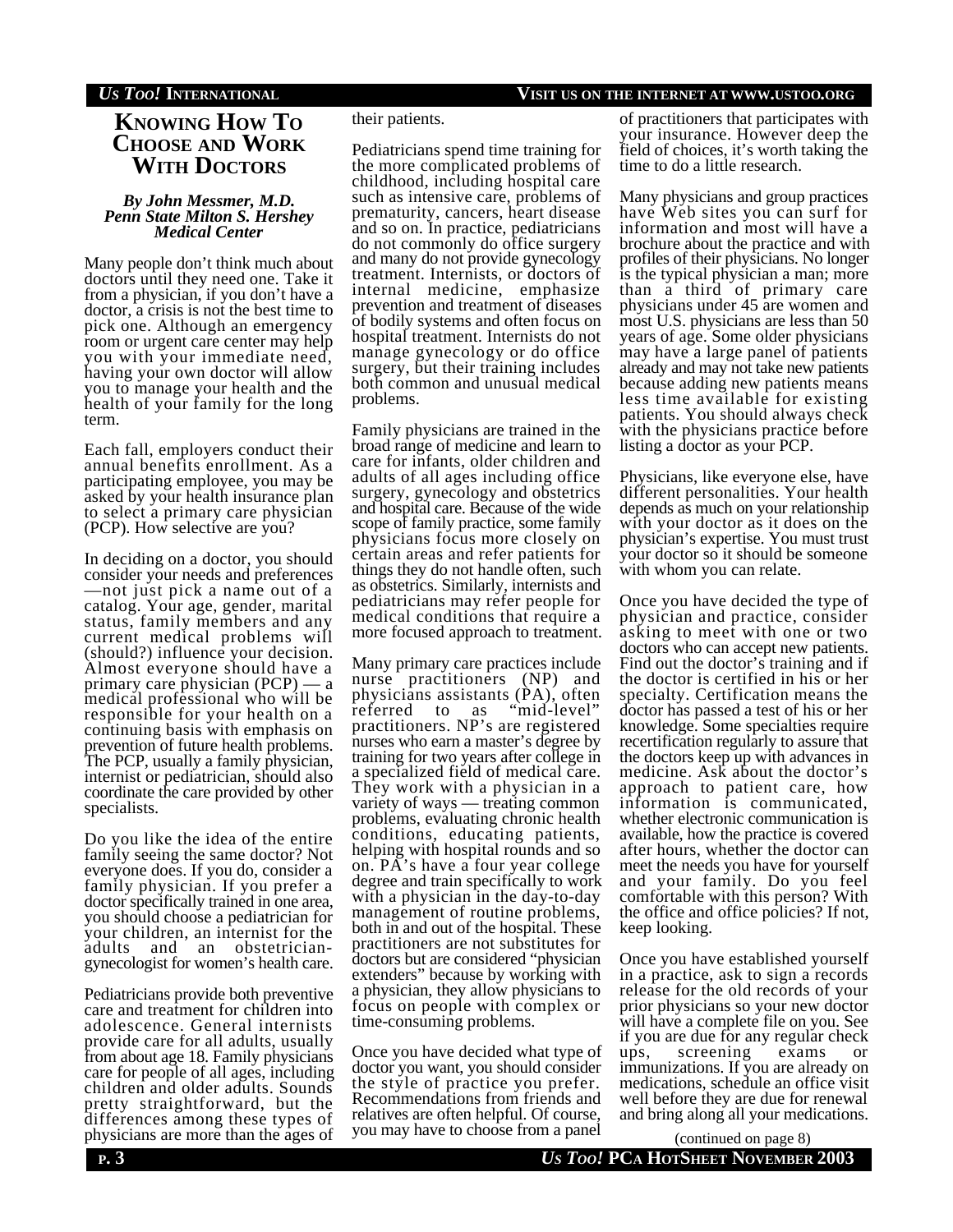### *US TOO!* **INTERNATIONAL VISIT US ON THE INTERNET AT WWW.USTOO.ORG**

# **KNOWING HOW TO CHOOSE AND WORK WITH DOCTORS**

#### *By John Messmer, M.D. Penn State Milton S. Hershey Medical Center*

Many people don't think much about doctors until they need one. Take it from a physician, if you don't have a doctor, a crisis is not the best time to pick one. Although an emergency room or urgent care center may help you with your immediate need, having your own doctor will allow you to manage your health and the health of your family for the long term.

Each fall, employers conduct their annual benefits enrollment. As a participating employee, you may be asked by your health insurance plan to select a primary care physician (PCP). How selective are you?

In deciding on a doctor, you should consider your needs and preferences —not just pick a name out of a catalog. Your age, gender, marital status, family members and any current medical problems will (should?) influence your decision. Almost everyone should have a primary care physician (PCP) — a medical professional who will be responsible for your health on a continuing basis with emphasis on prevention of future health problems. The PCP, usually a family physician, internist or pediatrician, should also coordinate the care provided by other specialists.

Do you like the idea of the entire family seeing the same doctor? Not everyone does. If you do, consider a family physician. If you prefer a doctor specifically trained in one area, you should choose a pediatrician for your children, an internist for the adults and an obstetriciangynecologist for women's health care.

Pediatricians provide both preventive care and treatment for children into adolescence. General internists provide care for all adults, usually from about age 18. Family physicians care for people of all ages, including children and older adults. Sounds pretty straightforward, but the differences among these types of physicians are more than the ages of

#### their patients.

Pediatricians spend time training for the more complicated problems of childhood, including hospital care such as intensive care, problems of prematurity, cancers, heart disease and so on. In practice, pediatricians do not commonly do office surgery and many do not provide gynecology treatment. Internists, or doctors of internal medicine, emphasize prevention and treatment of diseases of bodily systems and often focus on hospital treatment. Internists do not manage gynecology or do office surgery, but their training includes both common and unusual medical problems.

Family physicians are trained in the broad range of medicine and learn to care for infants, older children and adults of all ages including office surgery, gynecology and obstetrics and hospital care. Because of the wide scope of family practice, some family physicians focus more closely on certain areas and refer patients for things they do not handle often, such as obstetrics. Similarly, internists and pediatricians may refer people for medical conditions that require a more focused approach to treatment.

Many primary care practices include nurse practitioners (NP) and physicians assistants (PA), often referred to as "mid-level" practitioners. NP's are registered nurses who earn a master's degree by training for two years after college in a specialized field of medical care. They work with a physician in a variety of ways — treating common problems, evaluating chronic health conditions, educating patients, helping with hospital rounds and so on. PA's have a four year college degree and train specifically to work with a physician in the day-to-day management of routine problems, both in and out of the hospital. These practitioners are not substitutes for doctors but are considered "physician extenders" because by working with a physician, they allow physicians to focus on people with complex or time-consuming problems.

Once you have decided what type of doctor you want, you should consider the style of practice you prefer. Recommendations from friends and relatives are often helpful. Of course, you may have to choose from a panel

of practitioners that participates with your insurance. However deep the field of choices, it's worth taking the time to do a little research.

Many physicians and group practices have Web sites you can surf for information and most will have a brochure about the practice and with profiles of their physicians. No longer is the typical physician a man; more than a third of primary care physicians under 45 are women and most U.S. physicians are less than 50 years of age. Some older physicians may have a large panel of patients already and may not take new patients because adding new patients means less time available for existing patients. You should always check with the physicians practice before listing a doctor as your PCP.

Physicians, like everyone else, have different personalities. Your health depends as much on your relationship with your doctor as it does on the physician's expertise. You must trust your doctor so it should be someone with whom you can relate.

Once you have decided the type of physician and practice, consider asking to meet with one or two doctors who can accept new patients. Find out the doctor's training and if the doctor is certified in his or her specialty. Certification means the doctor has passed a test of his or her knowledge. Some specialties require recertification regularly to assure that the doctors keep up with advances in medicine. Ask about the doctor's approach to patient care, how information is communicated, whether electronic communication is available, how the practice is covered after hours, whether the doctor can meet the needs you have for yourself and your family. Do you feel comfortable with this person? With the office and office policies? If not, keep looking.

Once you have established yourself in a practice, ask to sign a records release for the old records of your prior physicians so your new doctor will have a complete file on you. See if you are due for any regular check ups, screening exams or immunizations. If you are already on medications, schedule an office visit well before they are due for renewal and bring along all your medications.

**P. 3** *US TOO!* **PCA HOTSHEET NOVEMBER 2003** (continued on page 8)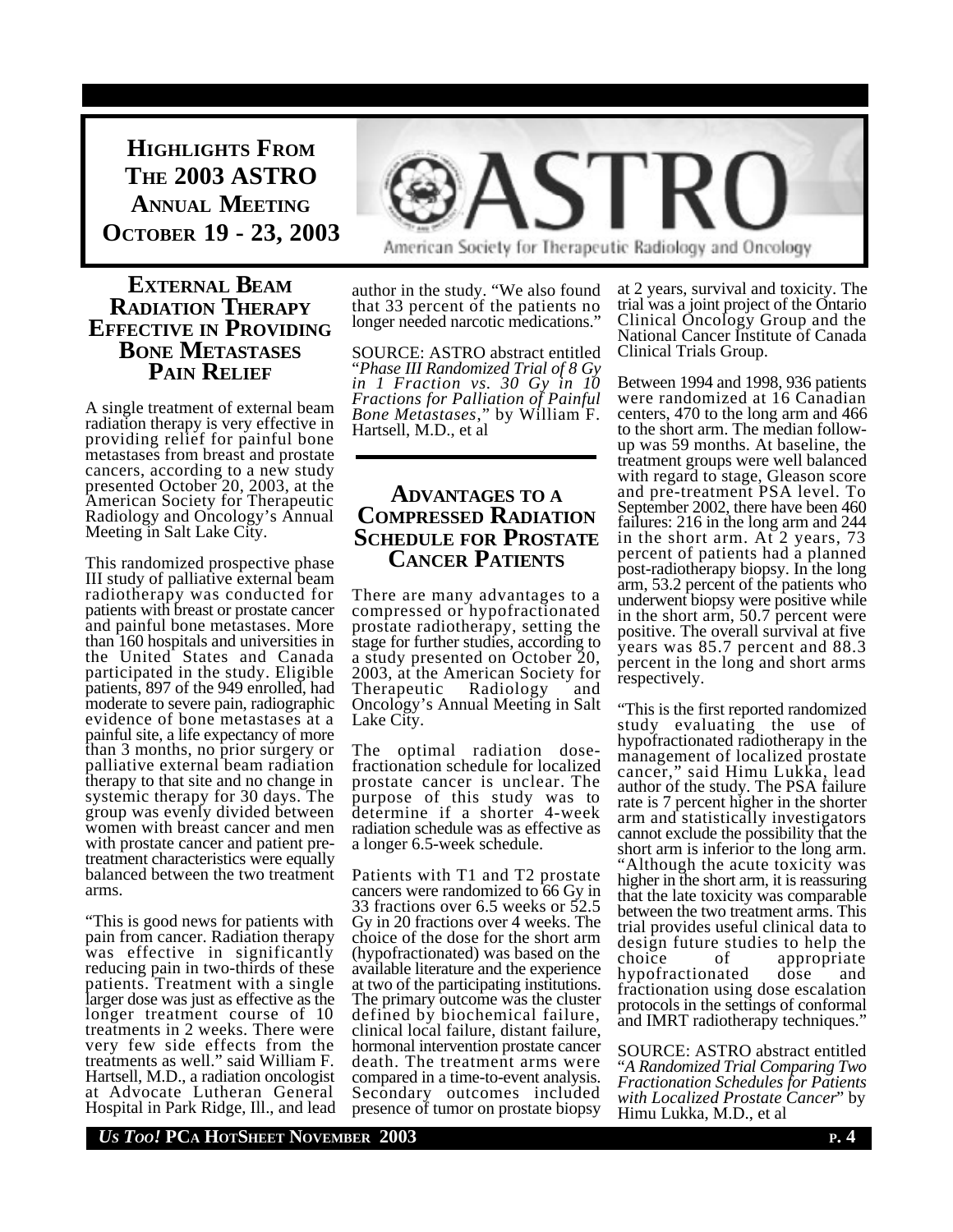**HIGHLIGHTS FROM THE 2003 ASTRO ANNUAL MEETING OCTOBER 19 - 23, 2003**

## **EXTERNAL BEAM RADIATION THERAPY EFFECTIVE IN PROVIDING BONE METASTASES PAIN RELIEF**

A single treatment of external beam radiation therapy is very effective in providing relief for painful bone metastases from breast and prostate cancers, according to a new study presented October 20, 2003, at the American Society for Therapeutic Radiology and Oncology's Annual Meeting in Salt Lake City.

This randomized prospective phase III study of palliative external beam radiotherapy was conducted for patients with breast or prostate cancer and painful bone metastases. More than 160 hospitals and universities in the United States and Canada participated in the study. Eligible patients, 897 of the 949 enrolled, had moderate to severe pain, radiographic evidence of bone metastases at a painful site, a life expectancy of more than 3 months, no prior surgery or palliative external beam radiation therapy to that site and no change in systemic therapy for 30 days. The group was evenly divided between women with breast cancer and men with prostate cancer and patient pretreatment characteristics were equally balanced between the two treatment arms.

"This is good news for patients with pain from cancer. Radiation therapy was effective in significantly reducing pain in two-thirds of these patients. Treatment with a single larger dose was just as effective as the longer treatment course of 10 treatments in 2 weeks. There were very few side effects from the treatments as well." said William F. Hartsell, M.D., a radiation oncologist at Advocate Lutheran General Hospital in Park Ridge, Ill., and lead



author in the study. "We also found that 33 percent of the patients no longer needed narcotic medications."

SOURCE: ASTRO abstract entitled "*Phase III Randomized Trial of 8 Gy in 1 Fraction vs. 30 Gy in 10 Fractions for Palliation of Painful Bone Metastases*," by William F. Hartsell, M.D., et al

## **ADVANTAGES TO A COMPRESSED RADIATION SCHEDULE FOR PROSTATE CANCER PATIENTS**

There are many advantages to a compressed or hypofractionated prostate radiotherapy, setting the stage for further studies, according to a study presented on October 20, 2003, at the American Society for Therapeutic Radiology and Oncology's Annual Meeting in Salt Lake City.

The optimal radiation dosefractionation schedule for localized prostate cancer is unclear. The purpose of this study was to determine if a shorter 4-week radiation schedule was as effective as a longer 6.5-week schedule.

Patients with T1 and T2 prostate cancers were randomized to 66 Gy in 33 fractions over 6.5 weeks or 52.5 Gy in 20 fractions over 4 weeks. The choice of the dose for the short arm (hypofractionated) was based on the available literature and the experience at two of the participating institutions. The primary outcome was the cluster defined by biochemical failure, clinical local failure, distant failure, hormonal intervention prostate cancer death. The treatment arms were compared in a time-to-event analysis. Secondary outcomes included presence of tumor on prostate biopsy at 2 years, survival and toxicity. The trial was a joint project of the Ontario Clinical Oncology Group and the National Cancer Institute of Canada Clinical Trials Group.

Between 1994 and 1998, 936 patients were randomized at 16 Canadian centers, 470 to the long arm and 466 to the short arm. The median followup was 59 months. At baseline, the treatment groups were well balanced with regard to stage, Gleason score and pre-treatment PSA level. To September 2002, there have been 460 failures: 216 in the long arm and 244 in the short arm. At 2 years, 73 percent of patients had a planned post-radiotherapy biopsy. In the long arm, 53.2 percent of the patients who underwent biopsy were positive while in the short arm, 50.7 percent were positive. The overall survival at five years was 85.7 percent and 88.3 percent in the long and short arms respectively.

"This is the first reported randomized study evaluating the use of hypofractionated radiotherapy in the management of localized prostate cancer," said Himu Lukka, lead author of the study. The PSA failure rate is 7 percent higher in the shorter arm and statistically investigators cannot exclude the possibility that the short arm is inferior to the long arm. "Although the acute toxicity was higher in the short arm, it is reassuring that the late toxicity was comparable between the two treatment arms. This trial provides useful clinical data to design future studies to help the<br>choice of appropriate choice of appropriate hypofractionated dose and fractionation using dose escalation protocols in the settings of conformal and IMRT radiotherapy techniques."

SOURCE: ASTRO abstract entitled "*A Randomized Trial Comparing Two Fractionation Schedules for Patients with Localized Prostate Cancer*" by Himu Lukka, M.D., et al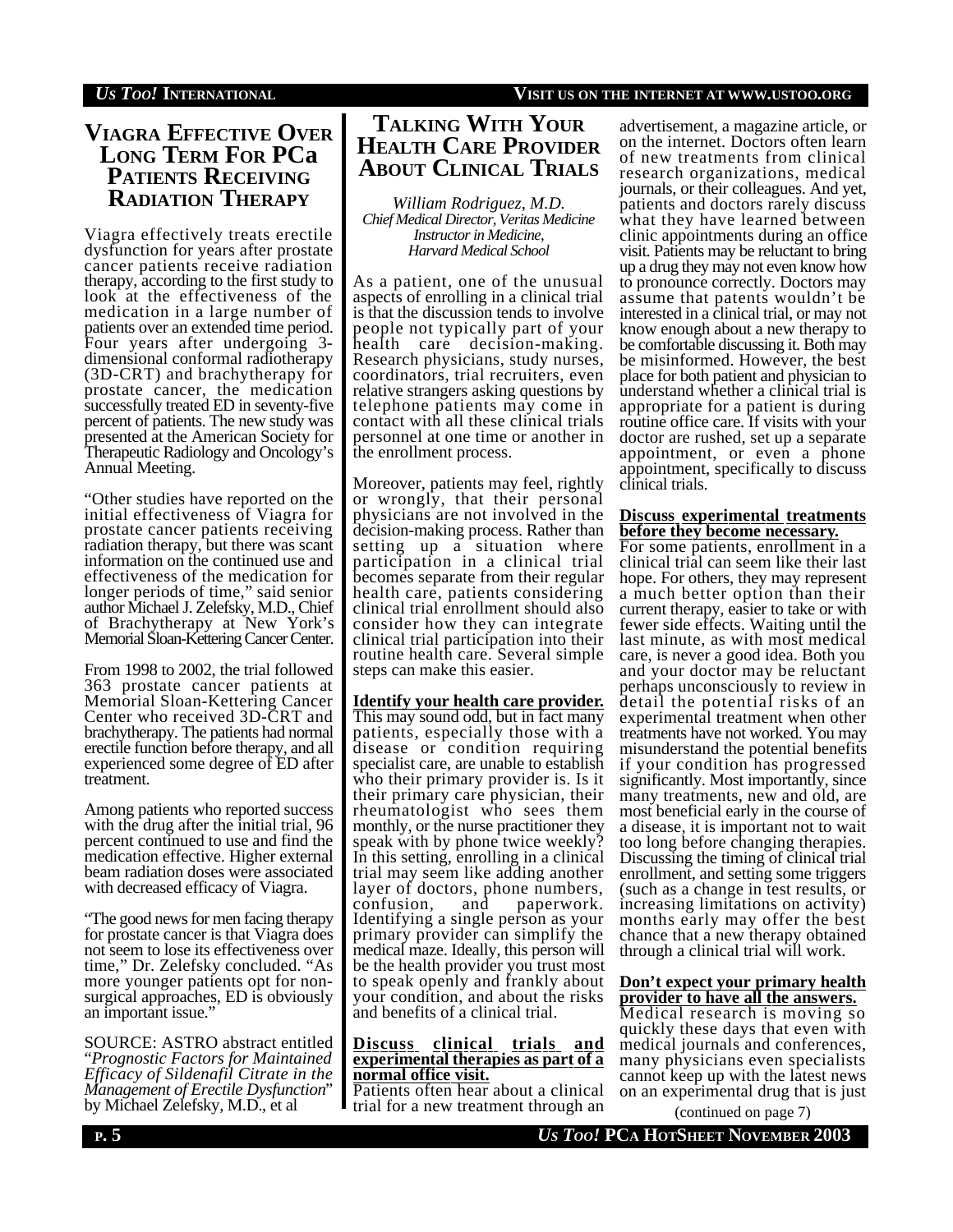# **VIAGRA EFFECTIVE OVER LONG TERM FOR PCa PATIENTS RECEIVING RADIATION THERAPY**

Viagra effectively treats erectile dysfunction for years after prostate cancer patients receive radiation therapy, according to the first study to look at the effectiveness of the medication in a large number of patients over an extended time period. Four years after undergoing 3 dimensional conformal radiotherapy (3D-CRT) and brachytherapy for prostate cancer, the medication successfully treated ED in seventy-five percent of patients. The new study was presented at the American Society for Therapeutic Radiology and Oncology's Annual Meeting.

"Other studies have reported on the initial effectiveness of Viagra for prostate cancer patients receiving radiation therapy, but there was scant information on the continued use and effectiveness of the medication for longer periods of time," said senior author Michael J. Zelefsky, M.D., Chief of Brachytherapy at New York's Memorial Sloan-Kettering Cancer Center.

From 1998 to 2002, the trial followed 363 prostate cancer patients at Memorial Sloan-Kettering Cancer Center who received 3D-CRT and brachytherapy. The patients had normal erectile function before therapy, and all experienced some degree of ED after treatment.

Among patients who reported success with the drug after the initial trial, 96 percent continued to use and find the medication effective. Higher external beam radiation doses were associated with decreased efficacy of Viagra.

"The good news for men facing therapy for prostate cancer is that Viagra does not seem to lose its effectiveness over time," Dr. Zelefsky concluded. "As more younger patients opt for nonsurgical approaches, ED is obviously an important issue."

SOURCE: ASTRO abstract entitled "*Prognostic Factors for Maintained Efficacy of Sildenafil Citrate in the Management of Erectile Dysfunction*" by Michael Zelefsky, M.D., et al

# **TALKING WITH YOUR HEALTH CARE PROVIDER ABOUT CLINICAL TRIALS**

*William Rodriguez, M.D. Chief Medical Director, Veritas Medicine Instructor in Medicine, Harvard Medical School*

As a patient, one of the unusual aspects of enrolling in a clinical trial is that the discussion tends to involve people not typically part of your health care decision-making. Research physicians, study nurses, coordinators, trial recruiters, even relative strangers asking questions by telephone patients may come in contact with all these clinical trials personnel at one time or another in the enrollment process.

Moreover, patients may feel, rightly or wrongly, that their personal physicians are not involved in the decision-making process. Rather than setting up a situation where participation in a clinical trial becomes separate from their regular health care, patients considering clinical trial enrollment should also consider how they can integrate clinical trial participation into their routine health care. Several simple steps can make this easier.

## **Identify your health care provider.**

This may sound odd, but in fact many patients, especially those with a disease or condition requiring specialist care, are unable to establish who their primary provider is. Is it their primary care physician, their rheumatologist who sees them monthly, or the nurse practitioner they speak with by phone twice weekly? In this setting, enrolling in a clinical trial may seem like adding another layer of doctors, phone numbers, confusion, and paperwork. Identifying a single person as your primary provider can simplify the medical maze. Ideally, this person will be the health provider you trust most to speak openly and frankly about your condition, and about the risks and benefits of a clinical trial.

#### **Discuss clinical trials and experimental therapies as part of a normal office visit.**

Patients often hear about a clinical trial for a new treatment through an

advertisement, a magazine article, or on the internet. Doctors often learn of new treatments from clinical research organizations, medical journals, or their colleagues. And yet, patients and doctors rarely discuss what they have learned between clinic appointments during an office visit. Patients may be reluctant to bring up a drug they may not even know how to pronounce correctly. Doctors may assume that patents wouldn't be interested in a clinical trial, or may not know enough about a new therapy to be comfortable discussing it. Both may be misinformed. However, the best place for both patient and physician to understand whether a clinical trial is appropriate for a patient is during routine office care. If visits with your doctor are rushed, set up a separate appointment, or even a phone appointment, specifically to discuss clinical trials.

### **Discuss experimental treatments before they become necessary.**

For some patients, enrollment in a clinical trial can seem like their last hope. For others, they may represent a much better option than their current therapy, easier to take or with fewer side effects. Waiting until the last minute, as with most medical care, is never a good idea. Both you and your doctor may be reluctant perhaps unconsciously to review in detail the potential risks of an experimental treatment when other treatments have not worked. You may misunderstand the potential benefits if your condition has progressed significantly. Most importantly, since many treatments, new and old, are most beneficial early in the course of a disease, it is important not to wait too long before changing therapies. Discussing the timing of clinical trial enrollment, and setting some triggers (such as a change in test results, or increasing limitations on activity) months early may offer the best chance that a new therapy obtained through a clinical trial will work.

### **Don't expect your primary health provider to have all the answers.**

Medical research is moving so quickly these days that even with medical journals and conferences, many physicians even specialists cannot keep up with the latest news on an experimental drug that is just

(continued on page 7)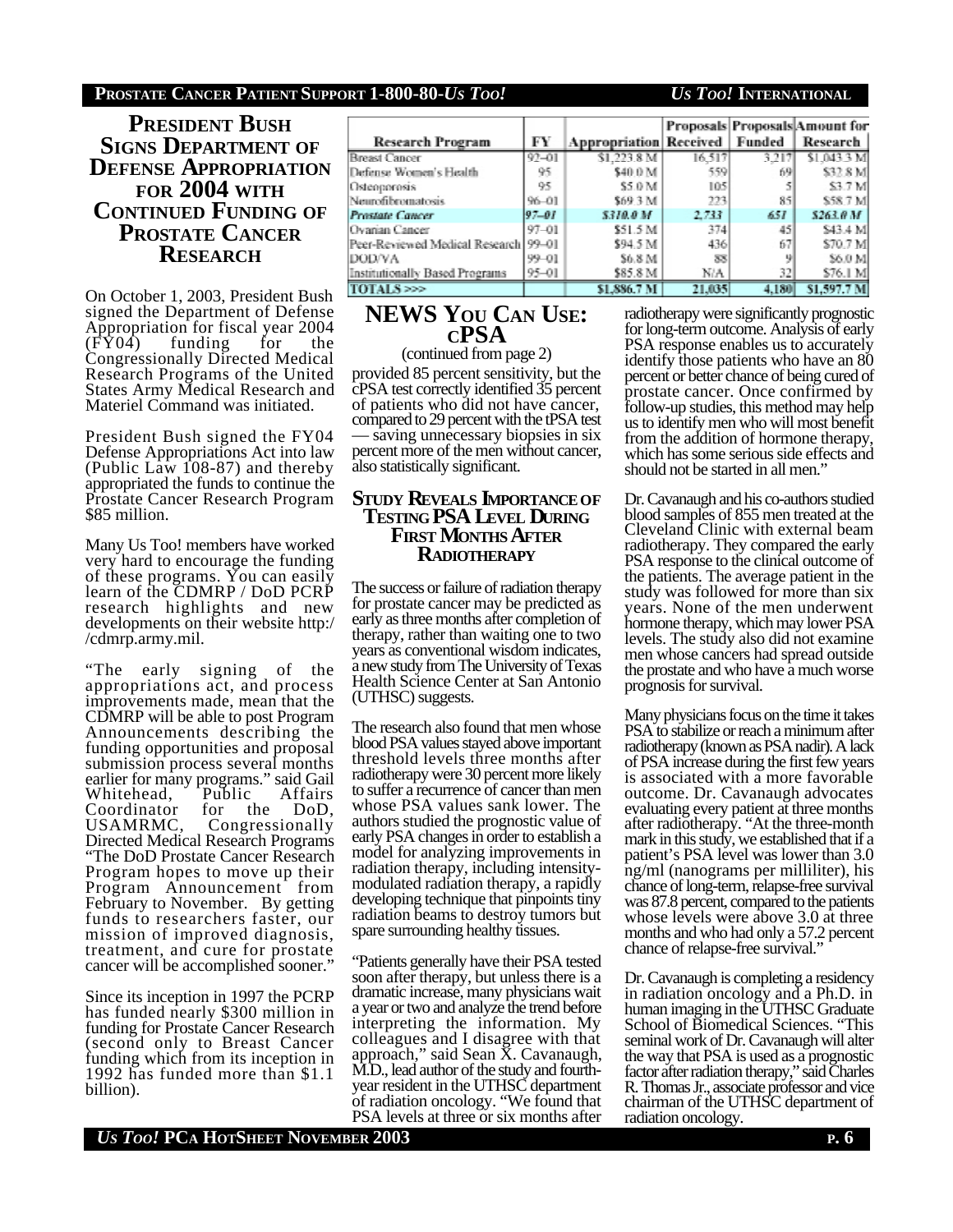### **PROSTATE CANCER PATIENT SUPPORT 1-800-80-***US TOO! US TOO!* **INTERNATIONAL**

**PRESIDENT BUSH SIGNS DEPARTMENT OF DEFENSE APPROPRIATION FOR 2004 WITH CONTINUED FUNDING OF PROSTATE CANCER RESEARCH**

On October 1, 2003, President Bush signed the Department of Defense Appropriation for fiscal year 2004 (FY04) funding for the Congressionally Directed Medical Research Programs of the United States Army Medical Research and Materiel Command was initiated.

President Bush signed the FY04 Defense Appropriations Act into law (Public Law 108-87) and thereby appropriated the funds to continue the Prostate Cancer Research Program \$85 million.

Many Us Too! members have worked very hard to encourage the funding of these programs. You can easily learn of the CDMRP / DoD PCRP research highlights and new developments on their website http:/ /cdmrp.army.mil.

"The early signing of the appropriations act, and process improvements made, mean that the CDMRP will be able to post Program Announcements describing the funding opportunities and proposal submission process several months earlier for many programs." said Gail<br>Whitehead, Public Affairs Whitehead, Public Affairs<br>Coordinator for the DoD, Coordinator for USAMRMC, Congressionally Directed Medical Research Programs "The DoD Prostate Cancer Research Program hopes to move up their Program Announcement from February to November. By getting funds to researchers faster, our mission of improved diagnosis, treatment, and cure for prostate cancer will be accomplished sooner."

Since its inception in 1997 the PCRP has funded nearly \$300 million in funding for Prostate Cancer Research (second only to Breast Cancer funding which from its inception in 1992 has funded more than \$1.1 billion).

|                                       |           |                               |        |        | Proposals Proposals Amount for |
|---------------------------------------|-----------|-------------------------------|--------|--------|--------------------------------|
| <b>Research Program</b>               | FY        | <b>Appropriation Received</b> |        | Funded | <b>Research</b>                |
| <b>Breast Cancer</b>                  | $92 - 01$ | \$1,223.8 M                   | 16.517 | 3.217  | \$1.043.3 M                    |
| Defense Women's Health                | 95        | \$40.0 M                      | 559    | 69     | \$32.8 M                       |
| Osteoporosis                          | 95        | \$5.0 M                       | 105    |        | \$3.7 M                        |
| Neurofibromatosis                     | $96 - 01$ | \$69.3 M                      | 223    | 85     | \$58.7 M                       |
| <b>Prostate Cancer</b>                | 97–01     | <b>S310.0 M</b>               | 2.733  | 657    | 5263.0 M                       |
| Ovarian Cancer                        | 97-01     | \$51.5 M                      | 374    | 45     | \$43.4 M                       |
| Peer-Reviewed Medical Research 99-01  |           | \$94.5 M                      | 436    | 67     | \$70.7 M                       |
| <b>DODVA</b>                          | 99-01     | \$6.8 M                       | 33     |        | \$6.0 M                        |
| <b>Institutionally Based Programs</b> | 95-01     | \$85.8 M                      | N/A    | 32     | \$76.1 M                       |
| TOTAL Seed                            |           | \$1,886.7 N                   | 21,035 | 4,180  | <b>SL597.7 M</b>               |

## **NEWS YOU CAN USE: CPSA** (continued from page 2)

provided 85 percent sensitivity, but the cPSA test correctly identified 35 percent of patients who did not have cancer, compared to 29 percent with the tPSA test saving unnecessary biopsies in six percent more of the men without cancer, also statistically significant.

## **STUDY REVEALS IMPORTANCEOF TESTING PSA LEVEL DURING FIRST MONTHS AFTER RADIOTHERAPY**

The success or failure of radiation therapy for prostate cancer may be predicted as early as three months after completion of therapy, rather than waiting one to two years as conventional wisdom indicates, a new study from The University of Texas Health Science Center at San Antonio (UTHSC) suggests.

The research also found that men whose blood PSA values stayed above important threshold levels three months after radiotherapy were 30 percent more likely to suffer a recurrence of cancer than men whose PSA values sank lower. The authors studied the prognostic value of early PSA changes in order to establish a model for analyzing improvements in radiation therapy, including intensitymodulated radiation therapy, a rapidly developing technique that pinpoints tiny radiation beams to destroy tumors but spare surrounding healthy tissues.

"Patients generally have their PSA tested soon after therapy, but unless there is a dramatic increase, many physicians wait a year or two and analyze the trend before interpreting the information. My colleagues and I disagree with that approach," said Sean X. Cavanaugh, M.D., lead author of the study and fourthyear resident in the UTHSC department of radiation oncology. "We found that PSA levels at three or six months after

radiotherapy were significantly prognostic for long-term outcome. Analysis of early PSA response enables us to accurately identify those patients who have an 80 percent or better chance of being cured of prostate cancer. Once confirmed by follow-up studies, this method may help us to identify men who will most benefit from the addition of hormone therapy, which has some serious side effects and should not be started in all men."

Dr. Cavanaugh and his co-authors studied blood samples of 855 men treated at the Cleveland Clinic with external beam radiotherapy. They compared the early PSA response to the clinical outcome of the patients. The average patient in the study was followed for more than six years. None of the men underwent hormone therapy, which may lower PSA levels. The study also did not examine men whose cancers had spread outside the prostate and who have a much worse prognosis for survival.

Many physicians focus on the time it takes PSA to stabilize or reach a minimum after radiotherapy (known as PSA nadir). A lack of PSA increase during the first few years is associated with a more favorable outcome. Dr. Cavanaugh advocates evaluating every patient at three months after radiotherapy. "At the three-month mark in this study, we established that if a patient's PSA level was lower than 3.0 ng/ml (nanograms per milliliter), his chance of long-term, relapse-free survival was 87.8 percent, compared to the patients whose levels were above 3.0 at three months and who had only a 57.2 percent chance of relapse-free survival."

Dr. Cavanaugh is completing a residency in radiation oncology and a Ph.D. in human imaging in the UTHSC Graduate School of Biomedical Sciences. "This seminal work of Dr. Cavanaugh will alter the way that PSA is used as a prognostic factor after radiation therapy," said Charles R. Thomas Jr., associate professor and vice chairman of the UTHSC department of radiation oncology.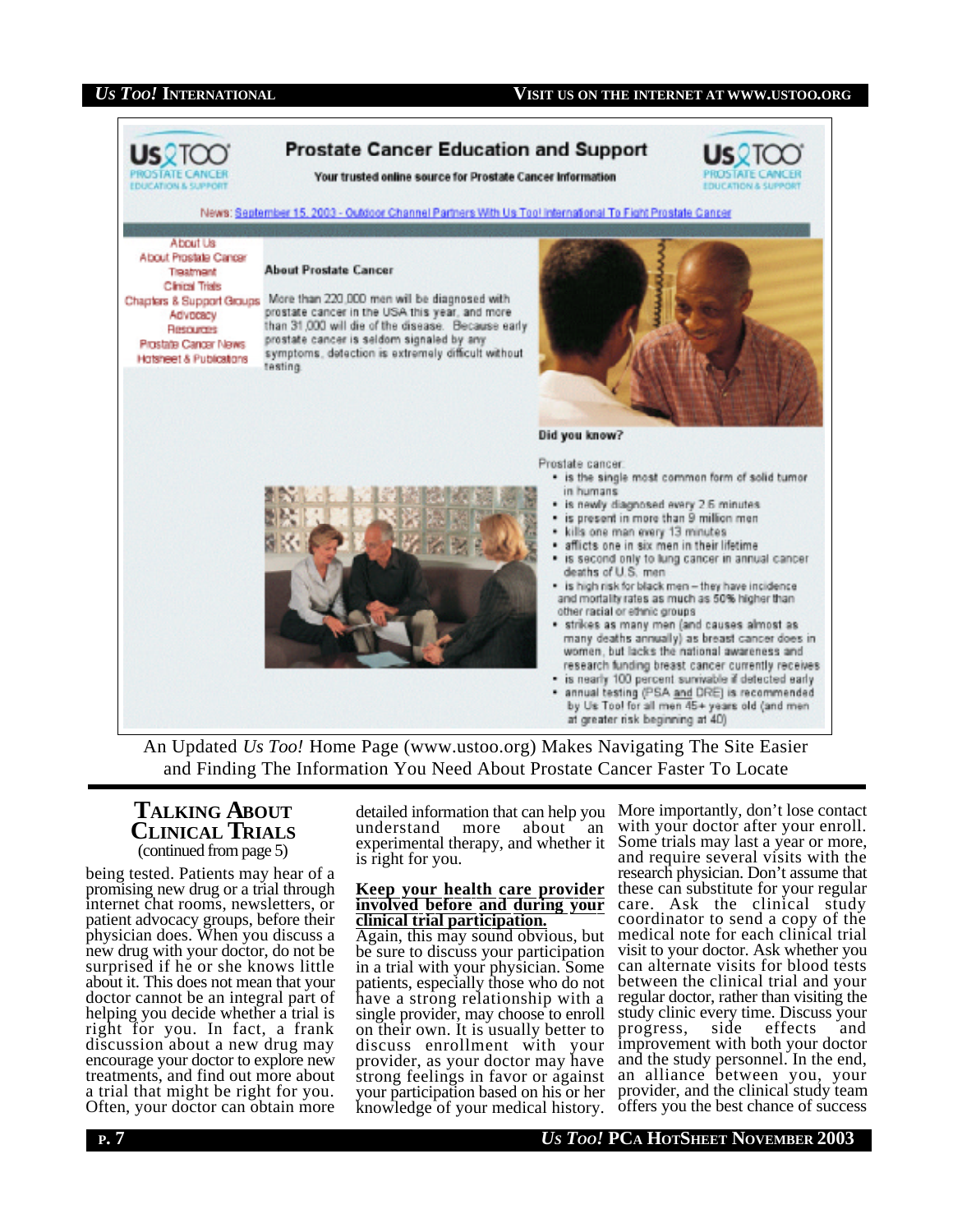

An Updated *Us Too!* Home Page (www.ustoo.org) Makes Navigating The Site Easier and Finding The Information You Need About Prostate Cancer Faster To Locate

## **TALKING ABOUT CLINICAL TRIALS** (continued from page 5)

being tested. Patients may hear of a promising new drug or a trial through internet chat rooms, newsletters, or patient advocacy groups, before their physician does. When you discuss a new drug with your doctor, do not be surprised if he or she knows little about it. This does not mean that your doctor cannot be an integral part of helping you decide whether a trial is right for you. In fact, a frank discussion about a new drug may encourage your doctor to explore new treatments, and find out more about a trial that might be right for you. Often, your doctor can obtain more

detailed information that can help you understand more about an experimental therapy, and whether it is right for you.

#### **Keep your health care provider involved before and during your clinical trial participation.**

Again, this may sound obvious, but be sure to discuss your participation in a trial with your physician. Some patients, especially those who do not have a strong relationship with a single provider, may choose to enroll on their own. It is usually better to discuss enrollment with your provider, as your doctor may have strong feelings in favor or against your participation based on his or her knowledge of your medical history.

More importantly, don't lose contact with your doctor after your enroll. Some trials may last a year or more, and require several visits with the research physician. Don't assume that these can substitute for your regular care. Ask the clinical study coordinator to send a copy of the medical note for each clinical trial visit to your doctor. Ask whether you can alternate visits for blood tests between the clinical trial and your regular doctor, rather than visiting the study clinic every time. Discuss your<br>progress, side effects and progress, side effects and improvement with both your doctor and the study personnel. In the end, an alliance between you, your provider, and the clinical study team offers you the best chance of success

**P. 7** *US TOO!* **PCA HOTSHEET NOVEMBER 2003**